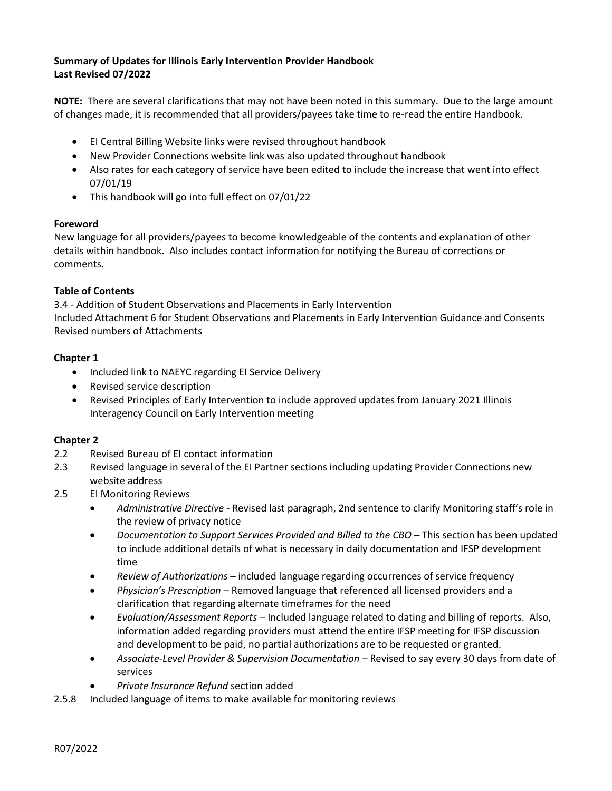# **Summary of Updates for Illinois Early Intervention Provider Handbook Last Revised 07/2022**

**NOTE:** There are several clarifications that may not have been noted in this summary. Due to the large amount of changes made, it is recommended that all providers/payees take time to re-read the entire Handbook.

- EI Central Billing Website links were revised throughout handbook
- New Provider Connections website link was also updated throughout handbook
- Also rates for each category of service have been edited to include the increase that went into effect 07/01/19
- This handbook will go into full effect on 07/01/22

#### **Foreword**

New language for all providers/payees to become knowledgeable of the contents and explanation of other details within handbook. Also includes contact information for notifying the Bureau of corrections or comments.

#### **Table of Contents**

3.4 - Addition of Student Observations and Placements in Early Intervention Included Attachment 6 for Student Observations and Placements in Early Intervention Guidance and Consents Revised numbers of Attachments

#### **Chapter 1**

- Included link to NAEYC regarding EI Service Delivery
- Revised service description
- Revised Principles of Early Intervention to include approved updates from January 2021 Illinois Interagency Council on Early Intervention meeting

#### **Chapter 2**

- 2.2 Revised Bureau of EI contact information
- 2.3 Revised language in several of the EI Partner sections including updating Provider Connections new website address
- 2.5 EI Monitoring Reviews
	- *Administrative Directive -* Revised last paragraph, 2nd sentence to clarify Monitoring staff's role in the review of privacy notice
	- *Documentation to Support Services Provided and Billed to the CBO –* This section has been updated to include additional details of what is necessary in daily documentation and IFSP development time
	- *Review of Authorizations –* included language regarding occurrences of service frequency
	- *Physician's Prescription –* Removed language that referenced all licensed providers and a clarification that regarding alternate timeframes for the need
	- *Evaluation/Assessment Reports –* Included language related to dating and billing of reports. Also, information added regarding providers must attend the entire IFSP meeting for IFSP discussion and development to be paid, no partial authorizations are to be requested or granted.
	- *Associate-Level Provider & Supervision Documentation –* Revised to say every 30 days from date of services
	- *Private Insurance Refund* section added
- 2.5.8 Included language of items to make available for monitoring reviews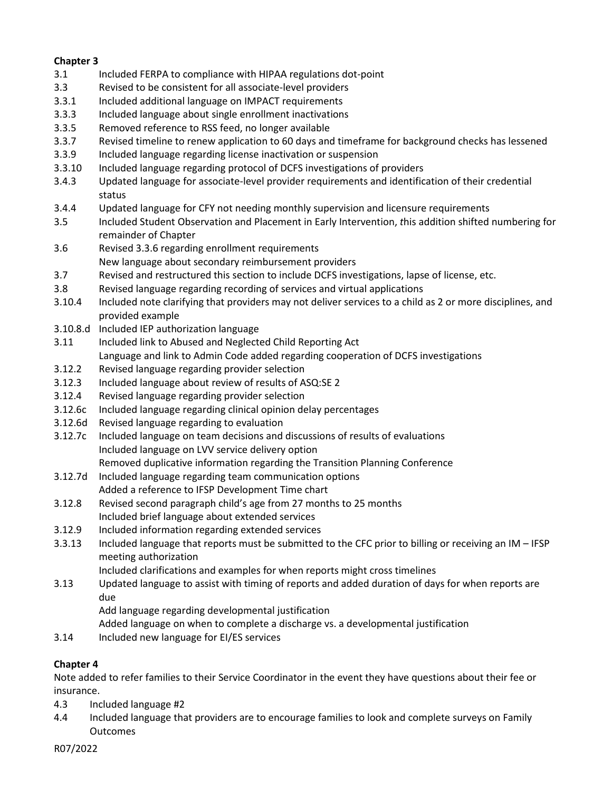# **Chapter 3**

- 3.1 Included FERPA to compliance with HIPAA regulations dot-point
- 3.3 Revised to be consistent for all associate-level providers
- 3.3.1 Included additional language on IMPACT requirements
- 3.3.3 Included language about single enrollment inactivations
- 3.3.5 Removed reference to RSS feed, no longer available
- 3.3.7 Revised timeline to renew application to 60 days and timeframe for background checks has lessened
- 3.3.9 Included language regarding license inactivation or suspension
- 3.3.10 Included language regarding protocol of DCFS investigations of providers
- 3.4.3 Updated language for associate-level provider requirements and identification of their credential status
- 3.4.4 Updated language for CFY not needing monthly supervision and licensure requirements
- 3.5 Included Student Observation and Placement in Early Intervention, *t*his addition shifted numbering for remainder of Chapter
- 3.6 Revised 3.3.6 regarding enrollment requirements
- New language about secondary reimbursement providers
- 3.7 Revised and restructured this section to include DCFS investigations, lapse of license, etc.
- 3.8 Revised language regarding recording of services and virtual applications
- 3.10.4 Included note clarifying that providers may not deliver services to a child as 2 or more disciplines, and provided example
- 3.10.8.d Included IEP authorization language
- 3.11 Included link to Abused and Neglected Child Reporting Act Language and link to Admin Code added regarding cooperation of DCFS investigations
- 3.12.2 Revised language regarding provider selection
- 3.12.3 Included language about review of results of ASQ:SE 2
- 3.12.4 Revised language regarding provider selection
- 3.12.6c Included language regarding clinical opinion delay percentages
- 3.12.6d Revised language regarding to evaluation
- 3.12.7c Included language on team decisions and discussions of results of evaluations Included language on LVV service delivery option

Removed duplicative information regarding the Transition Planning Conference

- 3.12.7d Included language regarding team communication options Added a reference to IFSP Development Time chart
- 3.12.8 Revised second paragraph child's age from 27 months to 25 months Included brief language about extended services
- 3.12.9 Included information regarding extended services
- 3.3.13 Included language that reports must be submitted to the CFC prior to billing or receiving an IM IFSP meeting authorization

Included clarifications and examples for when reports might cross timelines

- 3.13 Updated language to assist with timing of reports and added duration of days for when reports are due
	- Add language regarding developmental justification
	- Added language on when to complete a discharge vs. a developmental justification
- 3.14 Included new language for EI/ES services

# **Chapter 4**

Note added to refer families to their Service Coordinator in the event they have questions about their fee or insurance.

- 4.3 Included language #2
- 4.4 Included language that providers are to encourage families to look and complete surveys on Family Outcomes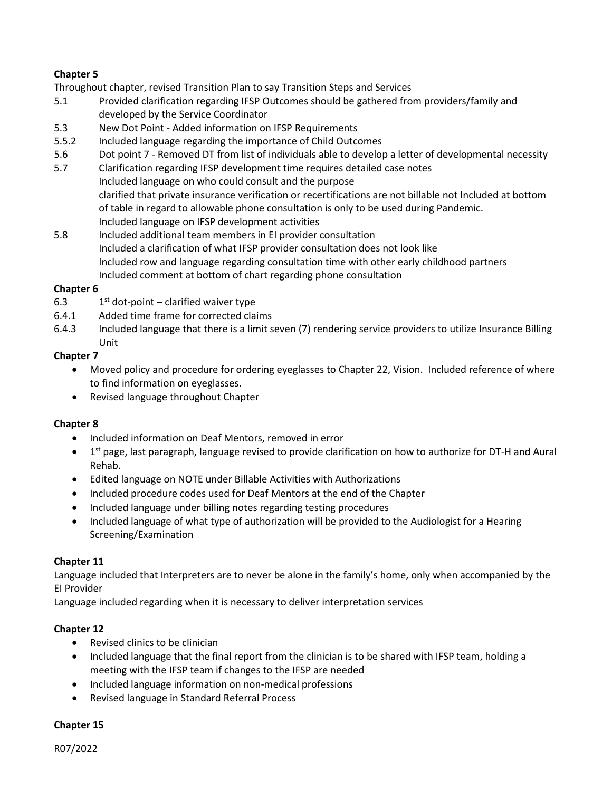# **Chapter 5**

Throughout chapter, revised Transition Plan to say Transition Steps and Services

- 5.1 Provided clarification regarding IFSP Outcomes should be gathered from providers/family and developed by the Service Coordinator
- 5.3 New Dot Point Added information on IFSP Requirements
- 5.5.2 Included language regarding the importance of Child Outcomes
- 5.6 Dot point 7 Removed DT from list of individuals able to develop a letter of developmental necessity
- 5.7 Clarification regarding IFSP development time requires detailed case notes Included language on who could consult and the purpose clarified that private insurance verification or recertifications are not billable not Included at bottom of table in regard to allowable phone consultation is only to be used during Pandemic. Included language on IFSP development activities
- 5.8 Included additional team members in EI provider consultation Included a clarification of what IFSP provider consultation does not look like Included row and language regarding consultation time with other early childhood partners Included comment at bottom of chart regarding phone consultation

#### **Chapter 6**

- 6.3  $1^{st}$  dot-point clarified waiver type
- 6.4.1 Added time frame for corrected claims
- 6.4.3 Included language that there is a limit seven (7) rendering service providers to utilize Insurance Billing Unit

## **Chapter 7**

- Moved policy and procedure for ordering eyeglasses to Chapter 22, Vision. Included reference of where to find information on eyeglasses.
- Revised language throughout Chapter

#### **Chapter 8**

- Included information on Deaf Mentors, removed in error
- 1<sup>st</sup> page, last paragraph, language revised to provide clarification on how to authorize for DT-H and Aural Rehab.
- Edited language on NOTE under Billable Activities with Authorizations
- Included procedure codes used for Deaf Mentors at the end of the Chapter
- Included language under billing notes regarding testing procedures
- Included language of what type of authorization will be provided to the Audiologist for a Hearing Screening/Examination

#### **Chapter 11**

Language included that Interpreters are to never be alone in the family's home, only when accompanied by the EI Provider

Language included regarding when it is necessary to deliver interpretation services

#### **Chapter 12**

- Revised clinics to be clinician
- Included language that the final report from the clinician is to be shared with IFSP team, holding a meeting with the IFSP team if changes to the IFSP are needed
- Included language information on non-medical professions
- Revised language in Standard Referral Process

#### **Chapter 15**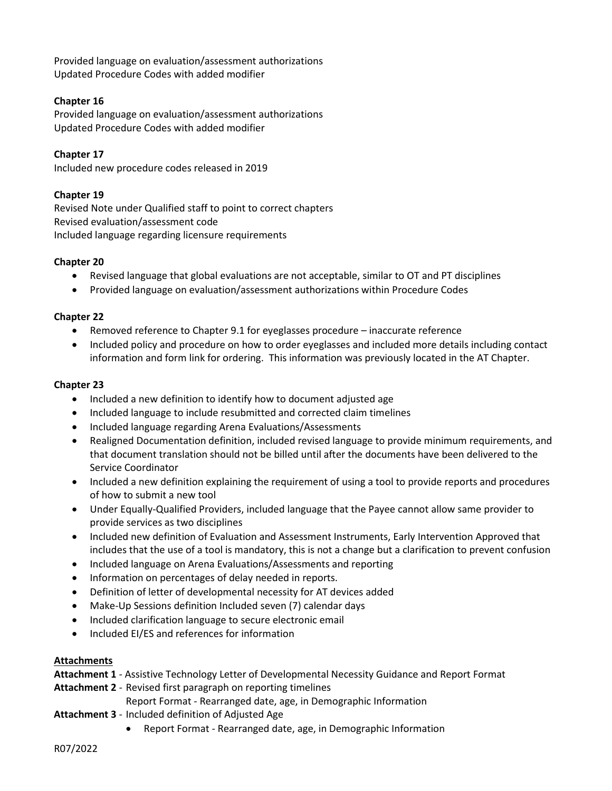Provided language on evaluation/assessment authorizations Updated Procedure Codes with added modifier

# **Chapter 16**

Provided language on evaluation/assessment authorizations Updated Procedure Codes with added modifier

**Chapter 17** Included new procedure codes released in 2019

## **Chapter 19**

Revised Note under Qualified staff to point to correct chapters Revised evaluation/assessment code Included language regarding licensure requirements

#### **Chapter 20**

- Revised language that global evaluations are not acceptable, similar to OT and PT disciplines
- Provided language on evaluation/assessment authorizations within Procedure Codes

#### **Chapter 22**

- Removed reference to Chapter 9.1 for eyeglasses procedure inaccurate reference
- Included policy and procedure on how to order eyeglasses and included more details including contact information and form link for ordering. This information was previously located in the AT Chapter.

#### **Chapter 23**

- Included a new definition to identify how to document adjusted age
- Included language to include resubmitted and corrected claim timelines
- Included language regarding Arena Evaluations/Assessments
- Realigned Documentation definition, included revised language to provide minimum requirements, and that document translation should not be billed until after the documents have been delivered to the Service Coordinator
- Included a new definition explaining the requirement of using a tool to provide reports and procedures of how to submit a new tool
- Under Equally-Qualified Providers, included language that the Payee cannot allow same provider to provide services as two disciplines
- Included new definition of Evaluation and Assessment Instruments, Early Intervention Approved that includes that the use of a tool is mandatory, this is not a change but a clarification to prevent confusion
- Included language on Arena Evaluations/Assessments and reporting
- Information on percentages of delay needed in reports.
- Definition of letter of developmental necessity for AT devices added
- Make-Up Sessions definition Included seven (7) calendar days
- Included clarification language to secure electronic email
- Included EI/ES and references for information

#### **Attachments**

**Attachment 1** - Assistive Technology Letter of Developmental Necessity Guidance and Report Format

**Attachment 2** - Revised first paragraph on reporting timelines

Report Format - Rearranged date, age, in Demographic Information

- **Attachment 3**  Included definition of Adjusted Age
	- Report Format Rearranged date, age, in Demographic Information